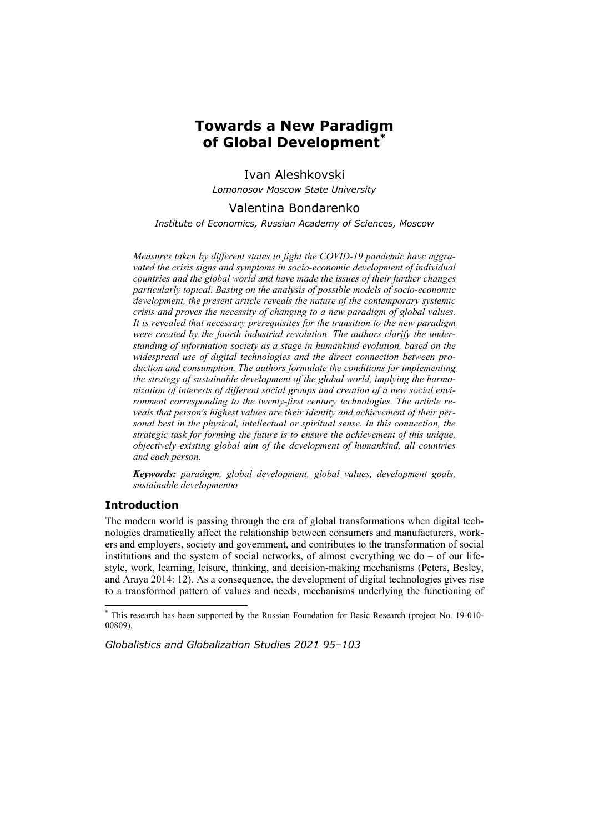# **Towards a New Paradigm of Global Development\***

Ivan Aleshkovski *Lomonosov Moscow State University* 

### Valentina Bondarenko

*Institute of Economics, Russian Academy of Sciences, Moscow* 

*Measures taken by different states to fight the COVID-19 pandemic have aggravated the crisis signs and symptoms in socio-economic development of individual countries and the global world and have made the issues of their further changes particularly topical. Basing on the analysis of possible models of socio-economic development, the present article reveals the nature of the contemporary systemic crisis and proves the necessity of changing to a new paradigm of global values. It is revealed that necessary prerequisites for the transition to the new paradigm were created by the fourth industrial revolution. The authors clarify the understanding of information society as a stage in humankind evolution, based on the widespread use of digital technologies and the direct connection between production and consumption. The authors formulate the conditions for implementing the strategy of sustainable development of the global world, implying the harmonization of interests of different social groups and creation of a new social environment corresponding to the twenty-first century technologies. The article reveals that person's highest values are their identity and achievement of their personal best in the physical, intellectual or spiritual sense. In this connection, the strategic task for forming the future is to ensure the achievement of this unique, objectively existing global aim of the development of humankind, all countries and each person.* 

*Keywords: paradigm, global development, global values, development goals, sustainable developmentю*

### **Introduction**

 $\overline{a}$ 

The modern world is passing through the era of global transformations when digital technologies dramatically affect the relationship between consumers and manufacturers, workers and employers, society and government, and contributes to the transformation of social institutions and the system of social networks, of almost everything we do  $-$  of our lifestyle, work, learning, leisure, thinking, and decision-making mechanisms (Peters, Besley, and Araya 2014: 12). As a consequence, the development of digital technologies gives rise to a transformed pattern of values and needs, mechanisms underlying the functioning of

*Globalistics and Globalization Studies 2021 95–103*

<sup>\*</sup> This research has been supported by the Russian Foundation for Basic Research (project No. 19-010- 00809).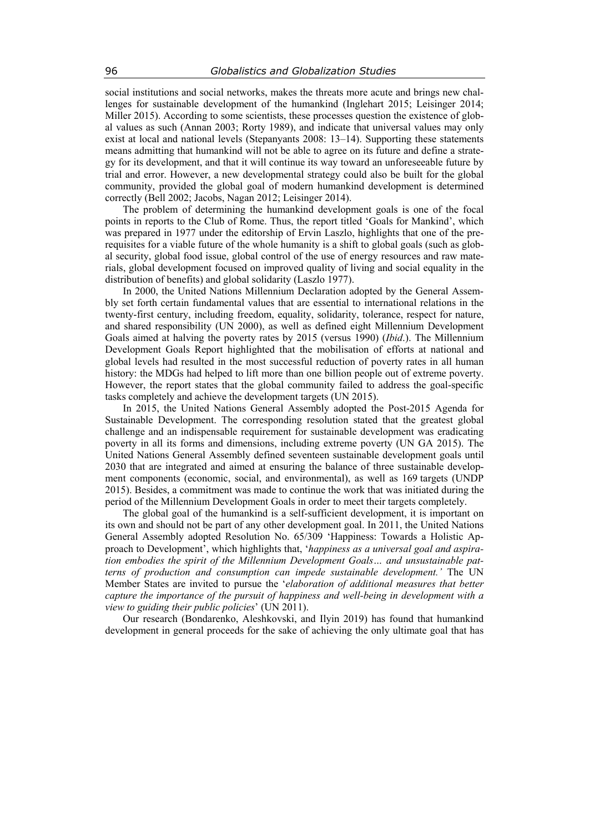social institutions and social networks, makes the threats more acute and brings new challenges for sustainable development of the humankind (Inglehart 2015; Leisinger 2014; Miller 2015). According to some scientists, these processes question the existence of global values as such (Annan 2003; Rorty 1989), and indicate that universal values may only exist at local and national levels (Stepanyants 2008: 13–14). Supporting these statements means admitting that humankind will not be able to agree on its future and define a strategy for its development, and that it will continue its way toward an unforeseeable future by trial and error. However, a new developmental strategy could also be built for the global community, provided the global goal of modern humankind development is determined correctly (Bell 2002; Jacobs, Nagan 2012; Leisinger 2014).

The problem of determining the humankind development goals is one of the focal points in reports to the Club of Rome. Thus, the report titled 'Goals for Mankind', which was prepared in 1977 under the editorship of Ervin Laszlo, highlights that one of the prerequisites for a viable future of the whole humanity is a shift to global goals (such as global security, global food issue, global control of the use of energy resources and raw materials, global development focused on improved quality of living and social equality in the distribution of benefits) and global solidarity (Laszlo 1977).

In 2000, the United Nations Millennium Declaration adopted by the General Assembly set forth certain fundamental values that are essential to international relations in the twenty-first century, including freedom, equality, solidarity, tolerance, respect for nature, and shared responsibility (UN 2000), as well as defined eight Millennium Development Goals aimed at halving the poverty rates by 2015 (versus 1990) (*Ibid*.). The Millennium Development Goals Report highlighted that the mobilisation of efforts at national and global levels had resulted in the most successful reduction of poverty rates in all human history: the MDGs had helped to lift more than one billion people out of extreme poverty. However, the report states that the global community failed to address the goal-specific tasks completely and achieve the development targets (UN 2015).

In 2015, the United Nations General Assembly adopted the Post-2015 Agenda for Sustainable Development. The corresponding resolution stated that the greatest global challenge and an indispensable requirement for sustainable development was eradicating poverty in all its forms and dimensions, including extreme poverty (UN GA 2015). The United Nations General Assembly defined seventeen sustainable development goals until 2030 that are integrated and aimed at ensuring the balance of three sustainable development components (economic, social, and environmental), as well as 169 targets (UNDP 2015). Besides, a commitment was made to continue the work that was initiated during the period of the Millennium Development Goals in order to meet their targets completely.

The global goal of the humankind is a self-sufficient development, it is important on its own and should not be part of any other development goal. In 2011, the United Nations General Assembly adopted Resolution No. 65/309 'Happiness: Towards a Holistic Approach to Development', which highlights that, '*happiness as a universal goal and aspiration embodies the spirit of the Millennium Development Goals… and unsustainable patterns of production and consumption can impede sustainable development.'* The UN Member States are invited to pursue the '*elaboration of additional measures that better capture the importance of the pursuit of happiness and well-being in development with a view to guiding their public policies*' (UN 2011).

Our research (Bondarenko, Aleshkovski, and Ilyin 2019) has found that humankind development in general proceeds for the sake of achieving the only ultimate goal that has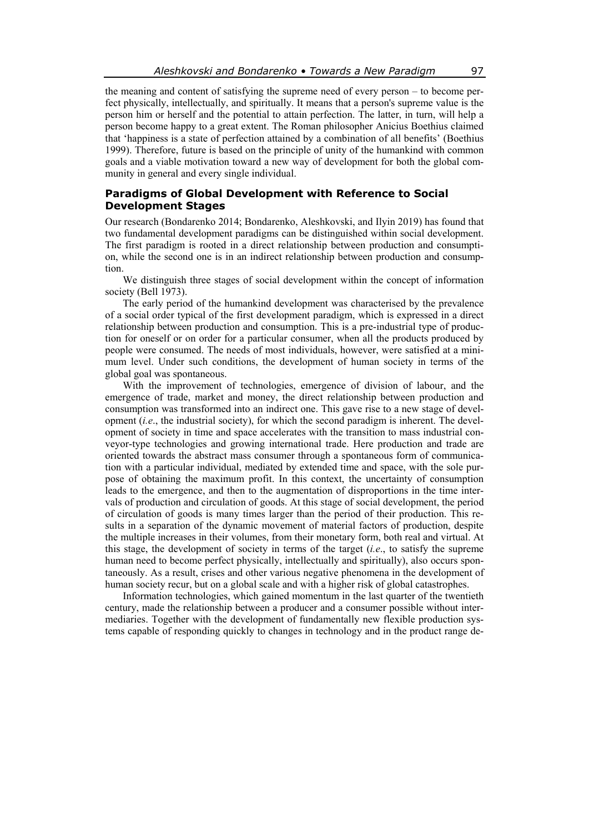the meaning and content of satisfying the supreme need of every person – to become perfect physically, intellectually, and spiritually. It means that a person's supreme value is the person him or herself and the potential to attain perfection. The latter, in turn, will help a person become happy to a great extent. The Roman philosopher Anicius Boethius claimed that 'happiness is a state of perfection attained by a combination of all benefits' (Boethius 1999). Therefore, future is based on the principle of unity of the humankind with common goals and a viable motivation toward a new way of development for both the global community in general and every single individual.

### **Paradigms of Global Development with Reference to Social Development Stages**

Our research (Bondarenko 2014; Bondarenko, Aleshkovski, and Ilyin 2019) has found that two fundamental development paradigms can be distinguished within social development. The first paradigm is rooted in a direct relationship between production and consumption, while the second one is in an indirect relationship between production and consumption.

We distinguish three stages of social development within the concept of information society (Bell 1973).

The early period of the humankind development was characterised by the prevalence of a social order typical of the first development paradigm, which is expressed in a direct relationship between production and consumption. This is a pre-industrial type of production for oneself or on order for a particular consumer, when all the products produced by people were consumed. The needs of most individuals, however, were satisfied at a minimum level. Under such conditions, the development of human society in terms of the global goal was spontaneous.

With the improvement of technologies, emergence of division of labour, and the emergence of trade, market and money, the direct relationship between production and consumption was transformed into an indirect one. This gave rise to a new stage of development (*i.e*., the industrial society), for which the second paradigm is inherent. The development of society in time and space accelerates with the transition to mass industrial conveyor-type technologies and growing international trade. Here production and trade are oriented towards the abstract mass consumer through a spontaneous form of communication with a particular individual, mediated by extended time and space, with the sole purpose of obtaining the maximum profit. In this context, the uncertainty of consumption leads to the emergence, and then to the augmentation of disproportions in the time intervals of production and circulation of goods. At this stage of social development, the period of circulation of goods is many times larger than the period of their production. This results in a separation of the dynamic movement of material factors of production, despite the multiple increases in their volumes, from their monetary form, both real and virtual. At this stage, the development of society in terms of the target (*i.e*., to satisfy the supreme human need to become perfect physically, intellectually and spiritually), also occurs spontaneously. As a result, crises and other various negative phenomena in the development of human society recur, but on a global scale and with a higher risk of global catastrophes.

Information technologies, which gained momentum in the last quarter of the twentieth century, made the relationship between a producer and a consumer possible without intermediaries. Together with the development of fundamentally new flexible production systems capable of responding quickly to changes in technology and in the product range de-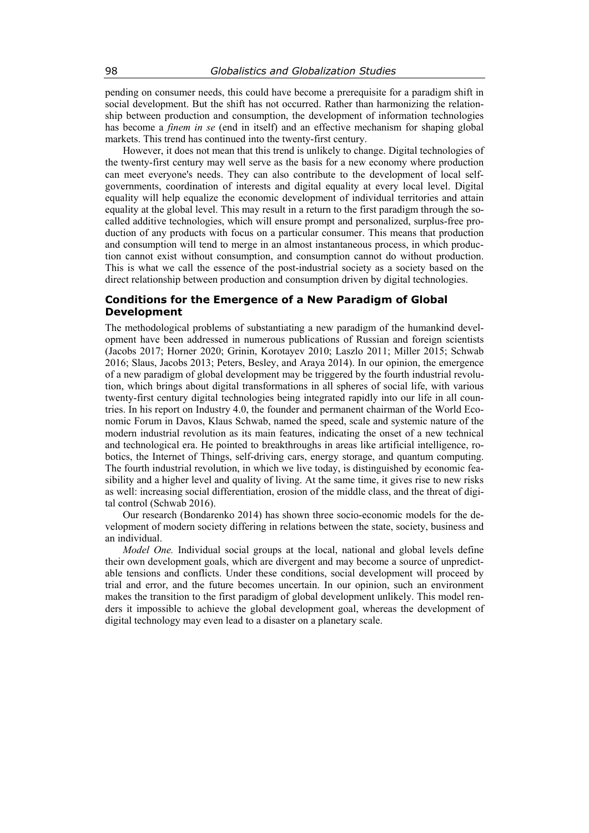pending on consumer needs, this could have become a prerequisite for a paradigm shift in social development. But the shift has not occurred. Rather than harmonizing the relationship between production and consumption, the development of information technologies has become a *finem in se* (end in itself) and an effective mechanism for shaping global markets. This trend has continued into the twenty-first century.

However, it does not mean that this trend is unlikely to change. Digital technologies of the twenty-first century may well serve as the basis for a new economy where production can meet everyone's needs. They can also contribute to the development of local selfgovernments, coordination of interests and digital equality at every local level. Digital equality will help equalize the economic development of individual territories and attain equality at the global level. This may result in a return to the first paradigm through the socalled additive technologies, which will ensure prompt and personalized, surplus-free production of any products with focus on a particular consumer. This means that production and consumption will tend to merge in an almost instantaneous process, in which production cannot exist without consumption, and consumption cannot do without production. This is what we call the essence of the post-industrial society as a society based on the direct relationship between production and consumption driven by digital technologies.

## **Conditions for the Emergence of a New Paradigm of Global Development**

The methodological problems of substantiating a new paradigm of the humankind development have been addressed in numerous publications of Russian and foreign scientists (Jacobs 2017; Horner 2020; Grinin, Korotayev 2010; Laszlo 2011; Miller 2015; Schwab 2016; Slaus, Jacobs 2013; Peters, Besley, and Araya 2014). In our opinion, the emergence of a new paradigm of global development may be triggered by the fourth industrial revolution, which brings about digital transformations in all spheres of social life, with various twenty-first century digital technologies being integrated rapidly into our life in all countries. In his report on Industry 4.0, the founder and permanent chairman of the World Economic Forum in Davos, Klaus Schwab, named the speed, scale and systemic nature of the modern industrial revolution as its main features, indicating the onset of a new technical and technological era. He pointed to breakthroughs in areas like artificial intelligence, robotics, the Internet of Things, self-driving cars, energy storage, and quantum computing. The fourth industrial revolution, in which we live today, is distinguished by economic feasibility and a higher level and quality of living. At the same time, it gives rise to new risks as well: increasing social differentiation, erosion of the middle class, and the threat of digital control (Schwab 2016).

Our research (Bondarenko 2014) has shown three socio-economic models for the development of modern society differing in relations between the state, society, business and an individual.

*Model One.* Individual social groups at the local, national and global levels define their own development goals, which are divergent and may become a source of unpredictable tensions and conflicts. Under these conditions, social development will proceed by trial and error, and the future becomes uncertain. In our opinion, such an environment makes the transition to the first paradigm of global development unlikely. This model renders it impossible to achieve the global development goal, whereas the development of digital technology may even lead to a disaster on a planetary scale.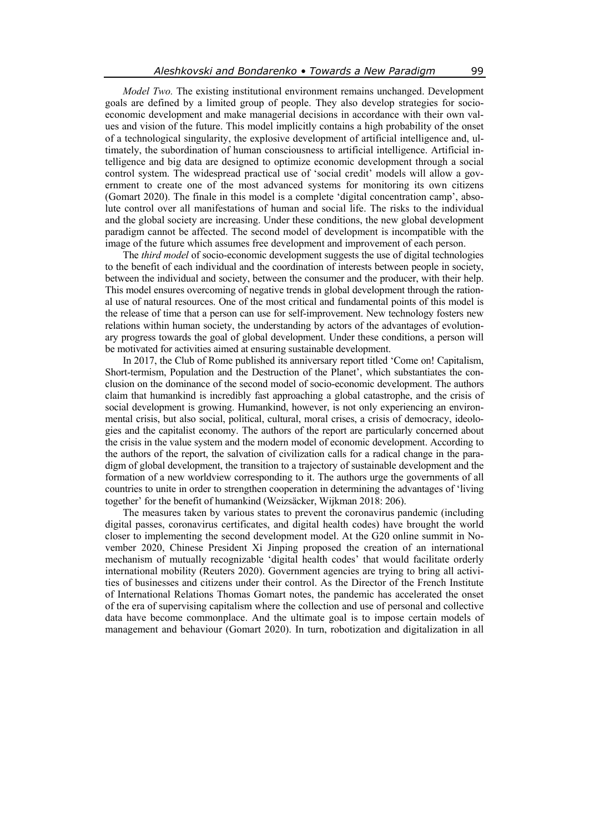*Model Two.* The existing institutional environment remains unchanged. Development goals are defined by a limited group of people. They also develop strategies for socioeconomic development and make managerial decisions in accordance with their own values and vision of the future. This model implicitly contains a high probability of the onset of a technological singularity, the explosive development of artificial intelligence and, ultimately, the subordination of human consciousness to artificial intelligence. Artificial intelligence and big data are designed to optimize economic development through a social control system. The widespread practical use of 'social credit' models will allow a government to create one of the most advanced systems for monitoring its own citizens (Gomart 2020). The finale in this model is a complete 'digital concentration camp', absolute control over all manifestations of human and social life. The risks to the individual and the global society are increasing. Under these conditions, the new global development paradigm cannot be affected. The second model of development is incompatible with the image of the future which assumes free development and improvement of each person.

The *third model* of socio-economic development suggests the use of digital technologies to the benefit of each individual and the coordination of interests between people in society, between the individual and society, between the consumer and the producer, with their help. This model ensures overcoming of negative trends in global development through the rational use of natural resources. One of the most critical and fundamental points of this model is the release of time that a person can use for self-improvement. New technology fosters new relations within human society, the understanding by actors of the advantages of evolutionary progress towards the goal of global development. Under these conditions, a person will be motivated for activities aimed at ensuring sustainable development.

In 2017, the Club of Rome published its anniversary report titled 'Come on! Capitalism, Short-termism, Population and the Destruction of the Planet', which substantiates the conclusion on the dominance of the second model of socio-economic development. The authors claim that humankind is incredibly fast approaching a global catastrophe, and the crisis of social development is growing. Humankind, however, is not only experiencing an environmental crisis, but also social, political, cultural, moral crises, a crisis of democracy, ideologies and the capitalist economy. The authors of the report are particularly concerned about the crisis in the value system and the modern model of economic development. According to the authors of the report, the salvation of civilization calls for a radical change in the paradigm of global development, the transition to a trajectory of sustainable development and the formation of a new worldview corresponding to it. The authors urge the governments of all countries to unite in order to strengthen cooperation in determining the advantages of 'living together' for the benefit of humankind (Weizsäcker, Wijkman 2018: 206).

The measures taken by various states to prevent the coronavirus pandemic (including digital passes, coronavirus certificates, and digital health codes) have brought the world closer to implementing the second development model. At the G20 online summit in November 2020, Chinese President Xi Jinping proposed the creation of an international mechanism of mutually recognizable 'digital health codes' that would facilitate orderly international mobility (Reuters 2020). Government agencies are trying to bring all activities of businesses and citizens under their control. As the Director of the French Institute of International Relations Thomas Gomart notes, the pandemic has accelerated the onset of the era of supervising capitalism where the collection and use of personal and collective data have become commonplace. And the ultimate goal is to impose certain models of management and behaviour (Gomart 2020). In turn, robotization and digitalization in all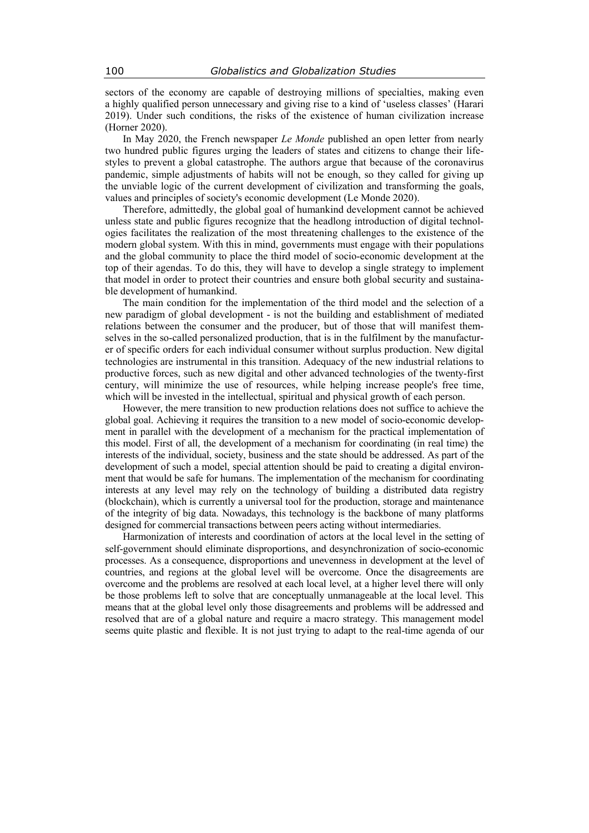sectors of the economy are capable of destroying millions of specialties, making even a highly qualified person unnecessary and giving rise to a kind of 'useless classes' (Harari 2019). Under such conditions, the risks of the existence of human civilization increase (Horner 2020).

In May 2020, the French newspaper *Le Monde* published an open letter from nearly two hundred public figures urging the leaders of states and citizens to change their lifestyles to prevent a global catastrophe. The authors argue that because of the coronavirus pandemic, simple adjustments of habits will not be enough, so they called for giving up the unviable logic of the current development of civilization and transforming the goals, values and principles of society's economic development (Le Monde 2020).

Therefore, admittedly, the global goal of humankind development cannot be achieved unless state and public figures recognize that the headlong introduction of digital technologies facilitates the realization of the most threatening challenges to the existence of the modern global system. With this in mind, governments must engage with their populations and the global community to place the third model of socio-economic development at the top of their agendas. To do this, they will have to develop a single strategy to implement that model in order to protect their countries and ensure both global security and sustainable development of humankind.

The main condition for the implementation of the third model and the selection of a new paradigm of global development - is not the building and establishment of mediated relations between the consumer and the producer, but of those that will manifest themselves in the so-called personalized production, that is in the fulfilment by the manufacturer of specific orders for each individual consumer without surplus production. New digital technologies are instrumental in this transition. Adequacy of the new industrial relations to productive forces, such as new digital and other advanced technologies of the twenty-first century, will minimize the use of resources, while helping increase people's free time, which will be invested in the intellectual, spiritual and physical growth of each person.

However, the mere transition to new production relations does not suffice to achieve the global goal. Achieving it requires the transition to a new model of socio-economic development in parallel with the development of a mechanism for the practical implementation of this model. First of all, the development of a mechanism for coordinating (in real time) the interests of the individual, society, business and the state should be addressed. As part of the development of such a model, special attention should be paid to creating a digital environment that would be safe for humans. The implementation of the mechanism for coordinating interests at any level may rely on the technology of building a distributed data registry (blockchain), which is currently a universal tool for the production, storage and maintenance of the integrity of big data. Nowadays, this technology is the backbone of many platforms designed for commercial transactions between peers acting without intermediaries.

Harmonization of interests and coordination of actors at the local level in the setting of self-government should eliminate disproportions, and desynchronization of socio-economic processes. As a consequence, disproportions and unevenness in development at the level of countries, and regions at the global level will be overcome. Once the disagreements are overcome and the problems are resolved at each local level, at a higher level there will only be those problems left to solve that are conceptually unmanageable at the local level. This means that at the global level only those disagreements and problems will be addressed and resolved that are of a global nature and require a macro strategy. This management model seems quite plastic and flexible. It is not just trying to adapt to the real-time agenda of our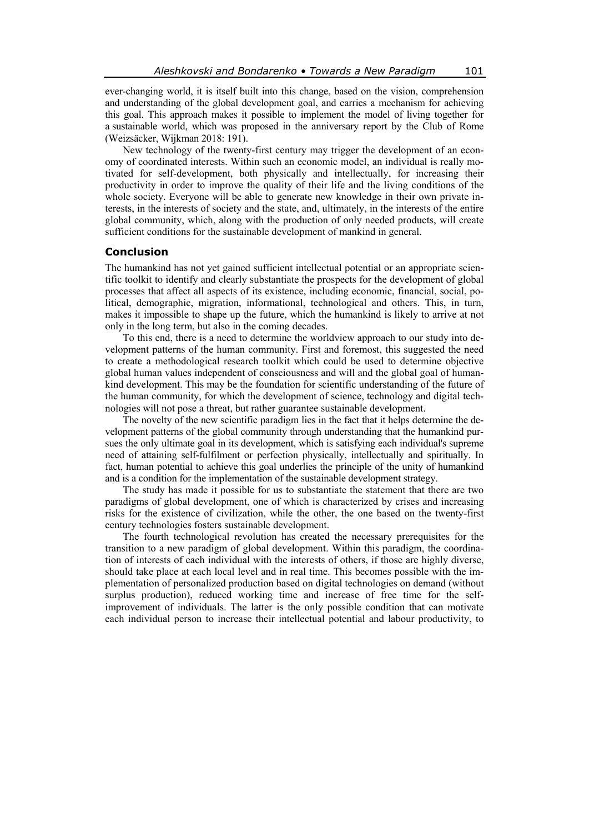ever-changing world, it is itself built into this change, based on the vision, comprehension and understanding of the global development goal, and carries a mechanism for achieving this goal. This approach makes it possible to implement the model of living together for a sustainable world, which was proposed in the anniversary report by the Club of Rome (Weizsäcker, Wijkman 2018: 191).

New technology of the twenty-first century may trigger the development of an economy of coordinated interests. Within such an economic model, an individual is really motivated for self-development, both physically and intellectually, for increasing their productivity in order to improve the quality of their life and the living conditions of the whole society. Everyone will be able to generate new knowledge in their own private interests, in the interests of society and the state, and, ultimately, in the interests of the entire global community, which, along with the production of only needed products, will create sufficient conditions for the sustainable development of mankind in general.

#### **Conclusion**

The humankind has not yet gained sufficient intellectual potential or an appropriate scientific toolkit to identify and clearly substantiate the prospects for the development of global processes that affect all aspects of its existence, including economic, financial, social, political, demographic, migration, informational, technological and others. This, in turn, makes it impossible to shape up the future, which the humankind is likely to arrive at not only in the long term, but also in the coming decades.

To this end, there is a need to determine the worldview approach to our study into development patterns of the human community. First and foremost, this suggested the need to create a methodological research toolkit which could be used to determine objective global human values independent of consciousness and will and the global goal of humankind development. This may be the foundation for scientific understanding of the future of the human community, for which the development of science, technology and digital technologies will not pose a threat, but rather guarantee sustainable development.

The novelty of the new scientific paradigm lies in the fact that it helps determine the development patterns of the global community through understanding that the humankind pursues the only ultimate goal in its development, which is satisfying each individual's supreme need of attaining self-fulfilment or perfection physically, intellectually and spiritually. In fact, human potential to achieve this goal underlies the principle of the unity of humankind and is a condition for the implementation of the sustainable development strategy.

The study has made it possible for us to substantiate the statement that there are two paradigms of global development, one of which is characterized by crises and increasing risks for the existence of civilization, while the other, the one based on the twenty-first century technologies fosters sustainable development.

The fourth technological revolution has created the necessary prerequisites for the transition to a new paradigm of global development. Within this paradigm, the coordination of interests of each individual with the interests of others, if those are highly diverse, should take place at each local level and in real time. This becomes possible with the implementation of personalized production based on digital technologies on demand (without surplus production), reduced working time and increase of free time for the selfimprovement of individuals. The latter is the only possible condition that can motivate each individual person to increase their intellectual potential and labour productivity, to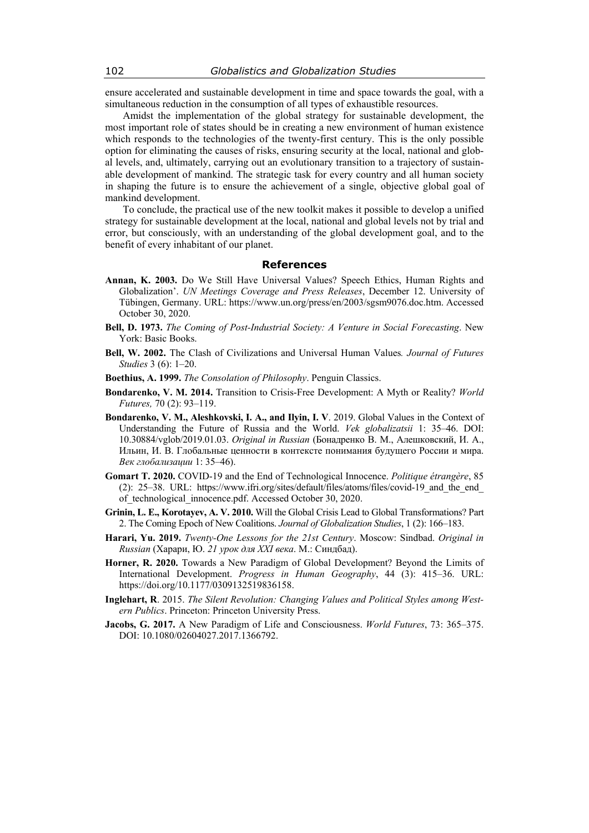ensure accelerated and sustainable development in time and space towards the goal, with a simultaneous reduction in the consumption of all types of exhaustible resources.

Amidst the implementation of the global strategy for sustainable development, the most important role of states should be in creating a new environment of human existence which responds to the technologies of the twenty-first century. This is the only possible option for eliminating the causes of risks, ensuring security at the local, national and global levels, and, ultimately, carrying out an evolutionary transition to a trajectory of sustainable development of mankind. The strategic task for every country and all human society in shaping the future is to ensure the achievement of a single, objective global goal of mankind development.

To conclude, the practical use of the new toolkit makes it possible to develop a unified strategy for sustainable development at the local, national and global levels not by trial and error, but consciously, with an understanding of the global development goal, and to the benefit of every inhabitant of our planet.

### **References**

- **Annan, K. 2003.** Do We Still Have Universal Values? Speech Ethics, Human Rights and Globalization'. *UN Meetings Coverage and Press Releases*, December 12. University of Tübingen, Germany. URL: https://www.un.org/press/en/2003/sgsm9076.doc.htm. Accessed October 30, 2020.
- **Bell, D. 1973.** *The Coming of Post-Industrial Society: A Venture in Social Forecasting*. New York: Basic Books.
- **Bell, W. 2002.** The Clash of Civilizations and Universal Human Values*. Journal of Futures Studies* 3 (6): 1–20.
- **Boethius, A. 1999.** *The Consolation of Philosophy*. Penguin Classics.
- **Bondarenko, V. M. 2014.** Transition to Crisis-Free Development: A Myth or Reality? *World Futures,* 70 (2): 93–119.
- **Bondarenko, V. M., Aleshkovski, I. A., and Ilyin, I. V**. 2019. Global Values in the Context of Understanding the Future of Russia and the World. *Vek globalizatsii* 1: 35–46. DOI: 10.30884/vglob/2019.01.03. *Original in Russian* (Бонадренко В. М., Алешковский, И. А., Ильин, И. В. Глобальные ценности в контексте понимания будущего России и мира. *Век глобализации* 1: 35–46).
- **Gomart T. 2020.** COVID-19 and the End of Technological Innocence. *Politique étrangère*, 85 (2): 25–38. URL: https://www.ifri.org/sites/default/files/atoms/files/covid-19\_and\_the\_end\_ of technological innocence.pdf. Accessed October 30, 2020.
- **Grinin, L. E., Korotayev, A. V. 2010.** Will the Global Crisis Lead to Global Transformations? Part 2. The Coming Epoch of New Coalitions. *Journal of Globalization Studies*, 1 (2): 166–183.
- **Harari, Yu. 2019.** *Twenty-One Lessons for the 21st Century*. Moscow: Sindbad. *Original in Russian* (Харари, Ю. *21 урок для XXI века*. М.: Синдбад).
- **Horner, R. 2020.** Towards a New Paradigm of Global Development? Beyond the Limits of International Development. *Progress in Human Geography*, 44 (3): 415–36. URL: https://doi.org/10.1177/0309132519836158.
- **Inglehart, R**. 2015. *The Silent Revolution: Changing Values and Political Styles among Western Publics*. Princeton: Princeton University Press.
- **Jacobs, G. 2017.** A New Paradigm of Life and Consciousness. *World Futures*, 73: 365–375. DOI: 10.1080/02604027.2017.1366792.